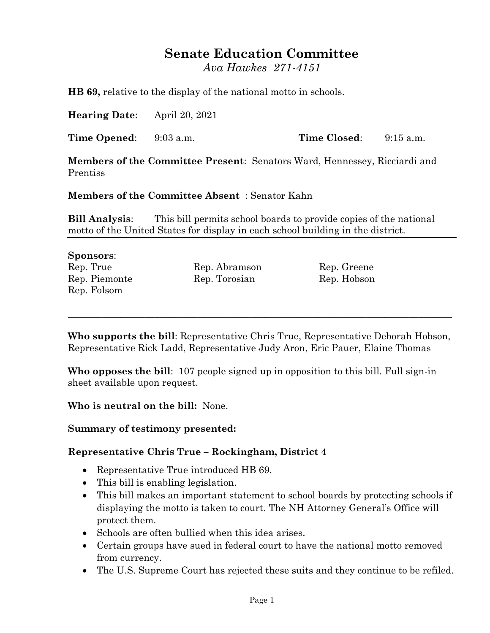# **Senate Education Committee**

*Ava Hawkes 271-4151*

**HB 69,** relative to the display of the national motto in schools.

**Hearing Date**: April 20, 2021

**Time Opened**: 9:03 a.m. **Time Closed**: 9:15 a.m.

**Members of the Committee Present**: Senators Ward, Hennessey, Ricciardi and Prentiss

**Members of the Committee Absent** : Senator Kahn

**Bill Analysis**: This bill permits school boards to provide copies of the national motto of the United States for display in each school building in the district.

#### **Sponsors**:

Rep. Folsom

Rep. True Rep. Abramson Rep. Greene Rep. Piemonte Rep. Torosian Rep. Rep. Hobson

**Who supports the bill**: Representative Chris True, Representative Deborah Hobson, Representative Rick Ladd, Representative Judy Aron, Eric Pauer, Elaine Thomas

\_\_\_\_\_\_\_\_\_\_\_\_\_\_\_\_\_\_\_\_\_\_\_\_\_\_\_\_\_\_\_\_\_\_\_\_\_\_\_\_\_\_\_\_\_\_\_\_\_\_\_\_\_\_\_\_\_\_\_\_\_\_\_\_\_\_\_\_\_\_\_\_\_\_\_\_\_\_\_\_

**Who opposes the bill**: 107 people signed up in opposition to this bill. Full sign-in sheet available upon request.

**Who is neutral on the bill:** None.

#### **Summary of testimony presented:**

### **Representative Chris True – Rockingham, District 4**

- Representative True introduced HB 69.
- This bill is enabling legislation.
- This bill makes an important statement to school boards by protecting schools if displaying the motto is taken to court. The NH Attorney General's Office will protect them.
- Schools are often bullied when this idea arises.
- Certain groups have sued in federal court to have the national motto removed from currency.
- The U.S. Supreme Court has rejected these suits and they continue to be refiled.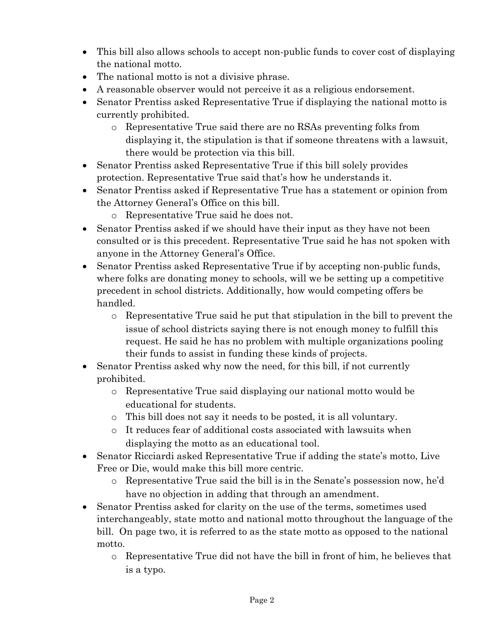- This bill also allows schools to accept non-public funds to cover cost of displaying the national motto.
- The national motto is not a divisive phrase.
- A reasonable observer would not perceive it as a religious endorsement.
- Senator Prentiss asked Representative True if displaying the national motto is currently prohibited.
	- o Representative True said there are no RSAs preventing folks from displaying it, the stipulation is that if someone threatens with a lawsuit, there would be protection via this bill.
- Senator Prentiss asked Representative True if this bill solely provides protection. Representative True said that's how he understands it.
- Senator Prentiss asked if Representative True has a statement or opinion from the Attorney General's Office on this bill.
	- o Representative True said he does not.
- Senator Prentiss asked if we should have their input as they have not been consulted or is this precedent. Representative True said he has not spoken with anyone in the Attorney General's Office.
- Senator Prentiss asked Representative True if by accepting non-public funds, where folks are donating money to schools, will we be setting up a competitive precedent in school districts. Additionally, how would competing offers be handled.
	- o Representative True said he put that stipulation in the bill to prevent the issue of school districts saying there is not enough money to fulfill this request. He said he has no problem with multiple organizations pooling their funds to assist in funding these kinds of projects.
- Senator Prentiss asked why now the need, for this bill, if not currently prohibited.
	- o Representative True said displaying our national motto would be educational for students.
	- o This bill does not say it needs to be posted, it is all voluntary.
	- o It reduces fear of additional costs associated with lawsuits when displaying the motto as an educational tool.
- Senator Ricciardi asked Representative True if adding the state's motto, Live Free or Die, would make this bill more centric.
	- o Representative True said the bill is in the Senate's possession now, he'd have no objection in adding that through an amendment.
- Senator Prentiss asked for clarity on the use of the terms, sometimes used interchangeably, state motto and national motto throughout the language of the bill. On page two, it is referred to as the state motto as opposed to the national motto.
	- o Representative True did not have the bill in front of him, he believes that is a typo.